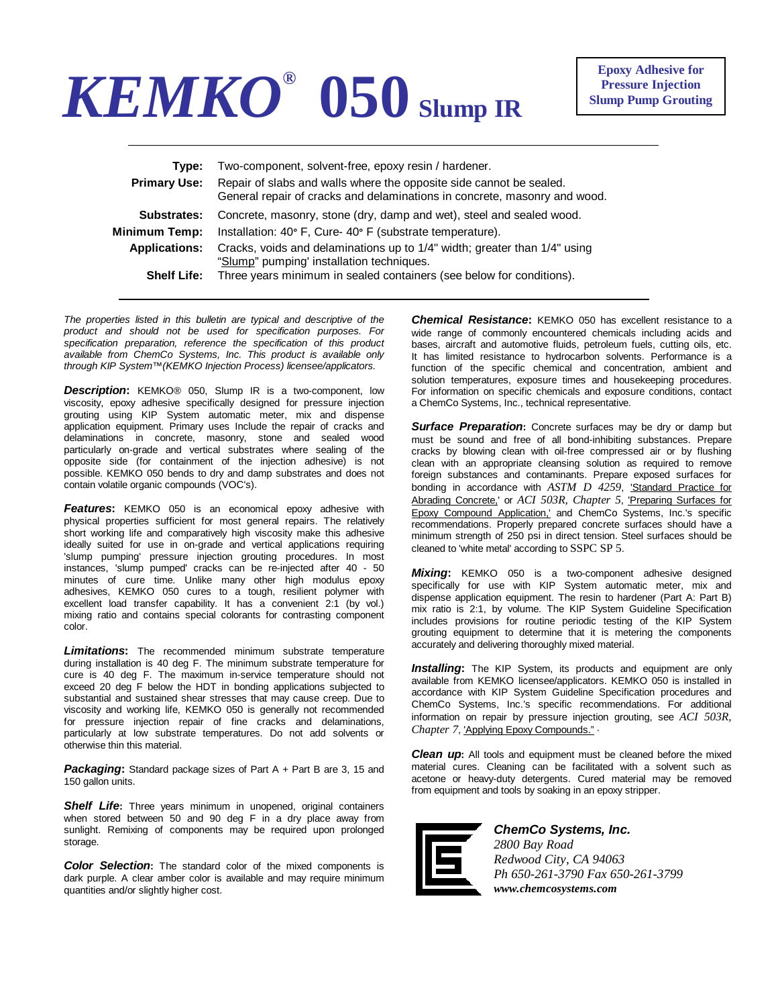## *KEMKO®* **050 Slump IR**

**Epoxy Adhesive for Pressure Injection Slump Pump Grouting**

| Type:<br><b>Primary Use:</b> | Two-component, solvent-free, epoxy resin / hardener.<br>Repair of slabs and walls where the opposite side cannot be sealed.<br>General repair of cracks and delaminations in concrete, masonry and wood. |
|------------------------------|----------------------------------------------------------------------------------------------------------------------------------------------------------------------------------------------------------|
| <b>Substrates:</b>           | Concrete, masonry, stone (dry, damp and wet), steel and sealed wood.                                                                                                                                     |
| Minimum Temp:                | Installation: 40° F, Cure- 40° F (substrate temperature).                                                                                                                                                |
| <b>Applications:</b>         | Cracks, voids and delaminations up to 1/4" width; greater than 1/4" using<br>"Slump" pumping' installation techniques.                                                                                   |
| <b>Shelf Life:</b>           | Three years minimum in sealed containers (see below for conditions).                                                                                                                                     |

*The properties listed in this bulletin are typical and descriptive of the product and should not be used for specification purposes. For specification preparation, reference the specification of this product available from ChemCo Systems, Inc. This product is available only through KIP System™(KEMKO Injection Process) licensee/applicators.* 

*Description***:** KEMKO® 050, Slump IR is a two-component, low viscosity, epoxy adhesive specifically designed for pressure injection grouting using KIP System automatic meter, mix and dispense application equipment. Primary uses Include the repair of cracks and delaminations in concrete, masonry, stone and sealed wood particularly on-grade and vertical substrates where sealing of the opposite side (for containment of the injection adhesive) is not possible. KEMKO 050 bends to dry and damp substrates and does not contain volatile organic compounds (VOC's).

*Features***:** KEMKO 050 is an economical epoxy adhesive with physical properties sufficient for most general repairs. The relatively short working life and comparatively high viscosity make this adhesive ideally suited for use in on-grade and vertical applications requiring 'slump pumping' pressure injection grouting procedures. In most instances, 'slump pumped' cracks can be re-injected after 40 - 50 minutes of cure time. Unlike many other high modulus epoxy adhesives, KEMKO 050 cures to a tough, resilient polymer with excellent load transfer capability. It has a convenient 2:1 (by vol.) mixing ratio and contains special colorants for contrasting component color.

*Limitations***:** The recommended minimum substrate temperature during installation is 40 deg F. The minimum substrate temperature for cure is 40 deg F. The maximum in-service temperature should not exceed 20 deg F below the HDT in bonding applications subjected to substantial and sustained shear stresses that may cause creep. Due to viscosity and working life, KEMKO 050 is generally not recommended for pressure injection repair of fine cracks and delaminations, particularly at low substrate temperatures. Do not add solvents or otherwise thin this material.

*Packaging***:** Standard package sizes of Part A + Part B are 3, 15 and 150 gallon units.

**Shelf Life:** Three years minimum in unopened, original containers when stored between 50 and 90 deg F in a dry place away from sunlight. Remixing of components may be required upon prolonged storage.

*Color Selection***:** The standard color of the mixed components is dark purple. A clear amber color is available and may require minimum quantities and/or slightly higher cost.

*Chemical Resistance***:** KEMKO 050 has excellent resistance to a wide range of commonly encountered chemicals including acids and bases, aircraft and automotive fluids, petroleum fuels, cutting oils, etc. It has limited resistance to hydrocarbon solvents. Performance is a function of the specific chemical and concentration, ambient and solution temperatures, exposure times and housekeeping procedures. For information on specific chemicals and exposure conditions, contact a ChemCo Systems, Inc., technical representative.

**Surface Preparation:** Concrete surfaces may be dry or damp but must be sound and free of all bond-inhibiting substances. Prepare cracks by blowing clean with oil-free compressed air or by flushing clean with an appropriate cleansing solution as required to remove foreign substances and contaminants. Prepare exposed surfaces for bonding in accordance with *ASTM D 4259*, 'Standard Practice for Abrading Concrete,' or *ACI 503R, Chapter 5*, 'Preparing Surfaces for Epoxy Compound Application,' and ChemCo Systems, Inc.'s specific recommendations. Properly prepared concrete surfaces should have a minimum strength of 250 psi in direct tension. Steel surfaces should be cleaned to 'white metal' according to SSPC SP 5.

*Mixing***:** KEMKO 050 is a two-component adhesive designed specifically for use with KIP System automatic meter, mix and dispense application equipment. The resin to hardener (Part A: Part B) mix ratio is 2:1, by volume. The KIP System Guideline Specification includes provisions for routine periodic testing of the KIP System grouting equipment to determine that it is metering the components accurately and delivering thoroughly mixed material.

**Installing:** The KIP System, its products and equipment are only available from KEMKO licensee/applicators. KEMKO 050 is installed in accordance with KIP System Guideline Specification procedures and ChemCo Systems, Inc.'s specific recommendations. For additional information on repair by pressure injection grouting, see *ACI 503R, Chapter 7*, 'Applying Epoxy Compounds." ·

*Clean up***:** All tools and equipment must be cleaned before the mixed material cures. Cleaning can be facilitated with a solvent such as acetone or heavy-duty detergents. Cured material may be removed from equipment and tools by soaking in an epoxy stripper.



*ChemCo Systems, Inc. 2800 Bay Road Redwood City, CA 94063 Ph 650-261-3790 Fax 650-261-3799 www.chemcosystems.com*